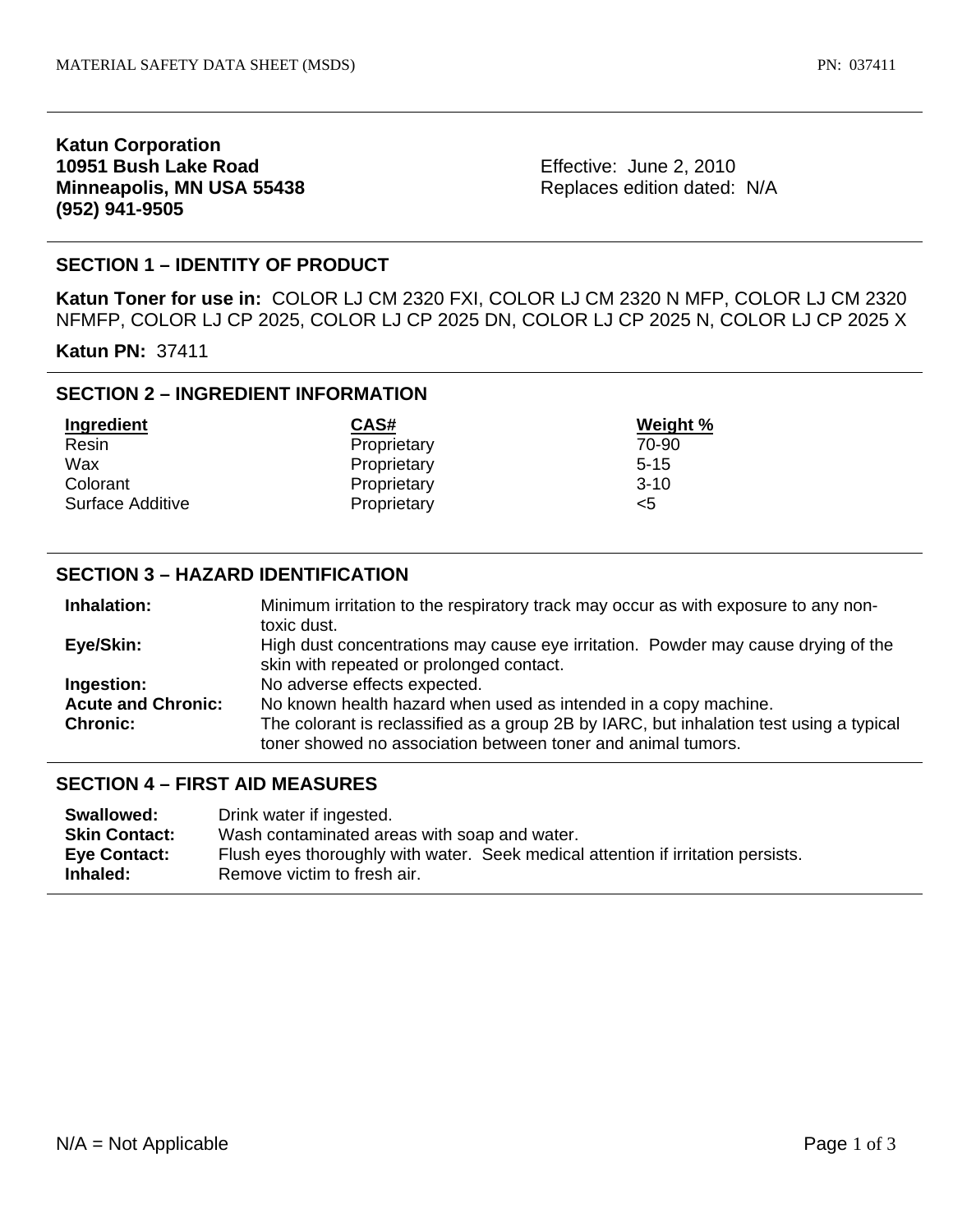## **Katun Corporation 10951 Bush Lake Road Minneapolis, MN USA 55438 (952) 941-9505**

Effective: June 2, 2010 Replaces edition dated: N/A

# **SECTION 1 – IDENTITY OF PRODUCT**

**Katun Toner for use in:** COLOR LJ CM 2320 FXI, COLOR LJ CM 2320 N MFP, COLOR LJ CM 2320 NFMFP, COLOR LJ CP 2025, COLOR LJ CP 2025 DN, COLOR LJ CP 2025 N, COLOR LJ CP 2025 X

**Katun PN:** 37411

# **SECTION 2 – INGREDIENT INFORMATION**

| Ingredient       | CAS#        | Weight % |
|------------------|-------------|----------|
| Resin            | Proprietary | 70-90    |
| Wax              | Proprietary | $5 - 15$ |
| Colorant         | Proprietary | $3-10$   |
| Surface Additive | Proprietary | <5       |

## **SECTION 3 – HAZARD IDENTIFICATION**

| Inhalation:               | Minimum irritation to the respiratory track may occur as with exposure to any non-      |  |
|---------------------------|-----------------------------------------------------------------------------------------|--|
|                           | toxic dust.                                                                             |  |
| Eye/Skin:                 | High dust concentrations may cause eye irritation. Powder may cause drying of the       |  |
|                           | skin with repeated or prolonged contact.                                                |  |
| Ingestion:                | No adverse effects expected.                                                            |  |
| <b>Acute and Chronic:</b> | No known health hazard when used as intended in a copy machine.                         |  |
| <b>Chronic:</b>           | The colorant is reclassified as a group 2B by IARC, but inhalation test using a typical |  |
|                           | toner showed no association between toner and animal tumors.                            |  |

#### **SECTION 4 – FIRST AID MEASURES**

| Swallowed:           | Drink water if ingested.                                                         |
|----------------------|----------------------------------------------------------------------------------|
| <b>Skin Contact:</b> | Wash contaminated areas with soap and water.                                     |
| Eye Contact:         | Flush eyes thoroughly with water. Seek medical attention if irritation persists. |
| Inhaled:             | Remove victim to fresh air.                                                      |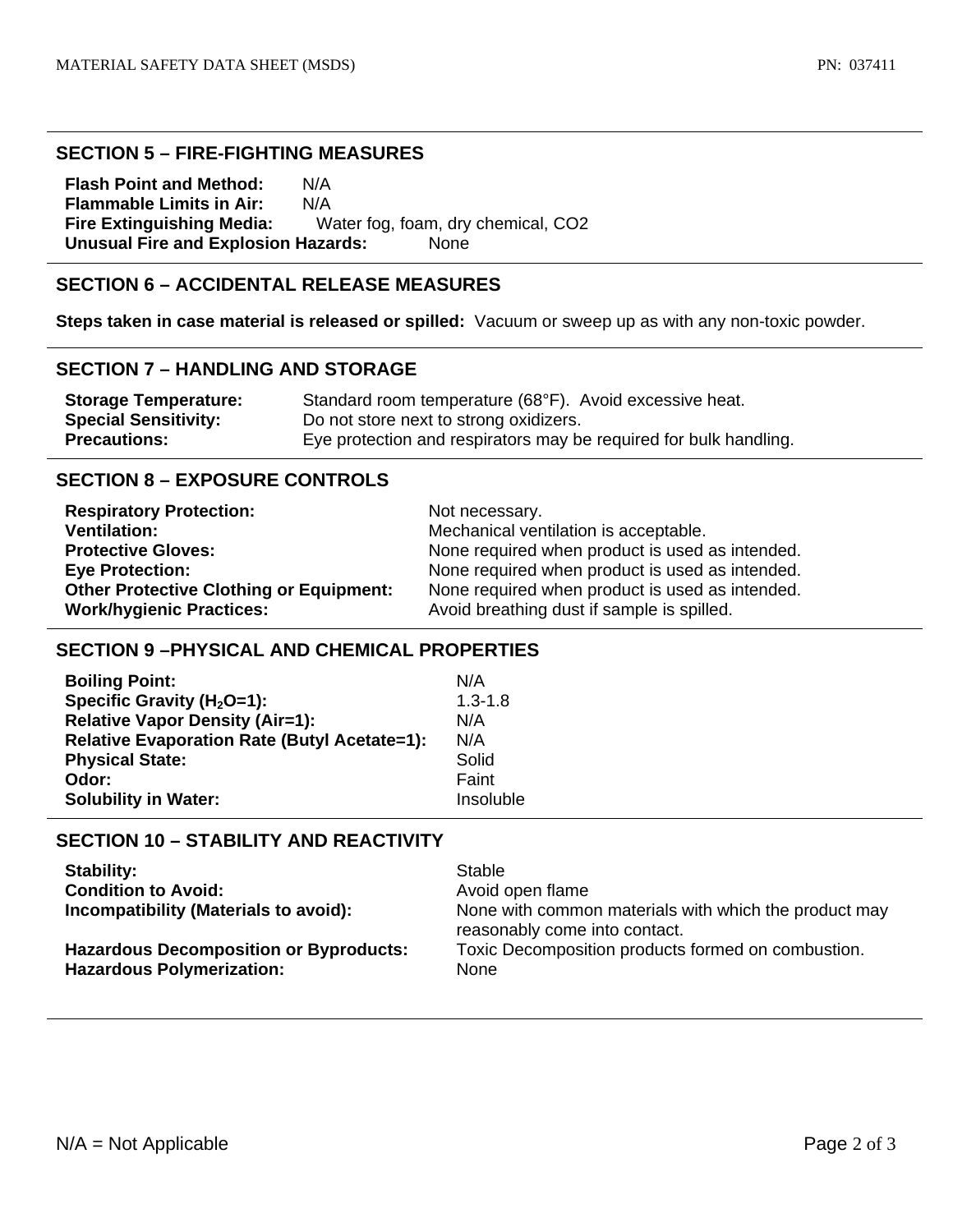### **SECTION 5 – FIRE-FIGHTING MEASURES**

**Flash Point and Method:** N/A **Flammable Limits in Air:** N/A **Fire Extinguishing Media:** Water fog, foam, dry chemical, CO2 **Unusual Fire and Explosion Hazards:** None

# **SECTION 6 – ACCIDENTAL RELEASE MEASURES**

**Steps taken in case material is released or spilled:** Vacuum or sweep up as with any non-toxic powder.

### **SECTION 7 – HANDLING AND STORAGE**

| <b>Storage Temperature:</b> | Standard room temperature (68°F). Avoid excessive heat.           |
|-----------------------------|-------------------------------------------------------------------|
| <b>Special Sensitivity:</b> | Do not store next to strong oxidizers.                            |
| <b>Precautions:</b>         | Eye protection and respirators may be required for bulk handling. |

# **SECTION 8 – EXPOSURE CONTROLS**

| <b>Respiratory Protection:</b>                 | Not necessary.                                  |
|------------------------------------------------|-------------------------------------------------|
| <b>Ventilation:</b>                            | Mechanical ventilation is acceptable.           |
| <b>Protective Gloves:</b>                      | None required when product is used as intended. |
| <b>Eye Protection:</b>                         | None required when product is used as intended. |
| <b>Other Protective Clothing or Equipment:</b> | None required when product is used as intended. |
| <b>Work/hygienic Practices:</b>                | Avoid breathing dust if sample is spilled.      |

### **SECTION 9 –PHYSICAL AND CHEMICAL PROPERTIES**

| <b>Boiling Point:</b>                               | N/A         |
|-----------------------------------------------------|-------------|
| Specific Gravity ( $H_2O=1$ ):                      | $1.3 - 1.8$ |
| <b>Relative Vapor Density (Air=1):</b>              | N/A         |
| <b>Relative Evaporation Rate (Butyl Acetate=1):</b> | N/A         |
| <b>Physical State:</b>                              | Solid       |
| Odor:                                               | Faint       |
| <b>Solubility in Water:</b>                         | Insoluble   |

# **SECTION 10 – STABILITY AND REACTIVITY**

| <b>Stability:</b>                                                                 | Stable                                                                                 |
|-----------------------------------------------------------------------------------|----------------------------------------------------------------------------------------|
| <b>Condition to Avoid:</b>                                                        | Avoid open flame                                                                       |
| Incompatibility (Materials to avoid):                                             | None with common materials with which the product may<br>reasonably come into contact. |
| <b>Hazardous Decomposition or Byproducts:</b><br><b>Hazardous Polymerization:</b> | Toxic Decomposition products formed on combustion.<br>None                             |